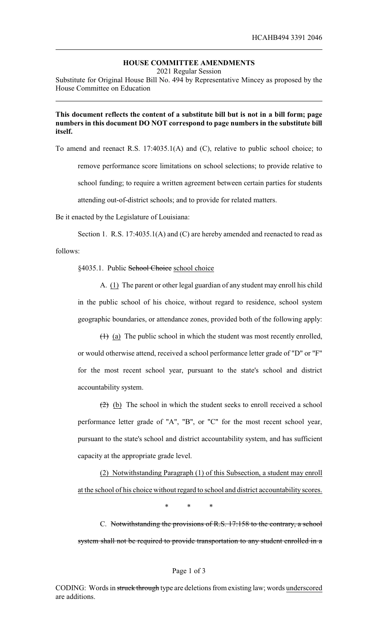# **HOUSE COMMITTEE AMENDMENTS**

2021 Regular Session

Substitute for Original House Bill No. 494 by Representative Mincey as proposed by the House Committee on Education

### **This document reflects the content of a substitute bill but is not in a bill form; page numbers in this document DO NOT correspond to page numbers in the substitute bill itself.**

To amend and reenact R.S. 17:4035.1(A) and (C), relative to public school choice; to remove performance score limitations on school selections; to provide relative to school funding; to require a written agreement between certain parties for students attending out-of-district schools; and to provide for related matters.

Be it enacted by the Legislature of Louisiana:

Section 1. R.S. 17:4035.1(A) and (C) are hereby amended and reenacted to read as follows:

§4035.1. Public School Choice school choice

A. (1) The parent or other legal guardian of any student may enroll his child in the public school of his choice, without regard to residence, school system geographic boundaries, or attendance zones, provided both of the following apply:

 $(1)$  (a) The public school in which the student was most recently enrolled, or would otherwise attend, received a school performance letter grade of "D" or "F" for the most recent school year, pursuant to the state's school and district accountability system.

 $(2)$  (b) The school in which the student seeks to enroll received a school performance letter grade of "A", "B", or "C" for the most recent school year, pursuant to the state's school and district accountability system, and has sufficient capacity at the appropriate grade level.

(2) Notwithstanding Paragraph (1) of this Subsection, a student may enroll at the school of his choice without regard to school and district accountability scores.

\* \* \*

C. Notwithstanding the provisions of R.S. 17:158 to the contrary, a school system shall not be required to provide transportation to any student enrolled in a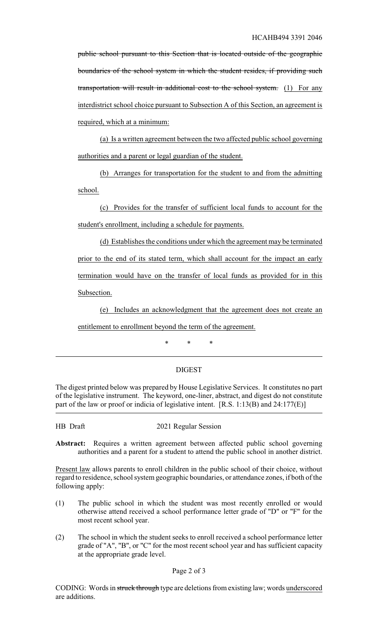public school pursuant to this Section that is located outside of the geographic boundaries of the school system in which the student resides, if providing such transportation will result in additional cost to the school system. (1) For any interdistrict school choice pursuant to Subsection A of this Section, an agreement is required, which at a minimum:

(a) Is a written agreement between the two affected public school governing authorities and a parent or legal guardian of the student.

(b) Arranges for transportation for the student to and from the admitting school.

(c) Provides for the transfer of sufficient local funds to account for the student's enrollment, including a schedule for payments.

(d) Establishes the conditions under which the agreement may be terminated prior to the end of its stated term, which shall account for the impact an early termination would have on the transfer of local funds as provided for in this Subsection.

(e) Includes an acknowledgment that the agreement does not create an entitlement to enrollment beyond the term of the agreement.

\* \* \*

## DIGEST

The digest printed below was prepared by House Legislative Services. It constitutes no part of the legislative instrument. The keyword, one-liner, abstract, and digest do not constitute part of the law or proof or indicia of legislative intent. [R.S. 1:13(B) and 24:177(E)]

HB Draft 2021 Regular Session

**Abstract:** Requires a written agreement between affected public school governing authorities and a parent for a student to attend the public school in another district.

Present law allows parents to enroll children in the public school of their choice, without regard to residence, school system geographic boundaries, or attendance zones, if both of the following apply:

- (1) The public school in which the student was most recently enrolled or would otherwise attend received a school performance letter grade of "D" or "F" for the most recent school year.
- (2) The school in which the student seeks to enroll received a school performance letter grade of "A", "B", or "C" for the most recent school year and has sufficient capacity at the appropriate grade level.

#### Page 2 of 3

CODING: Words in struck through type are deletions from existing law; words underscored are additions.